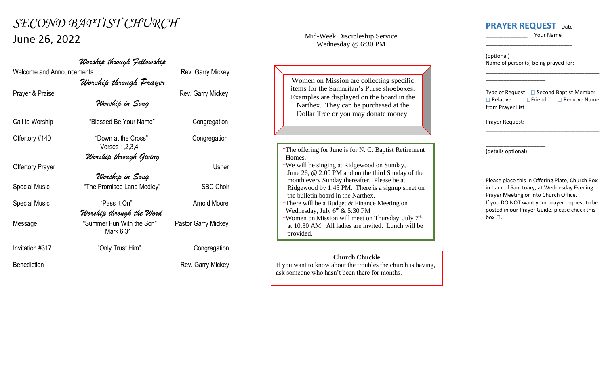## *SECOND BAPTIST CHURCH* June 26, 2022

*Worship through Fellowship* Welcome and Announcements **Rev. Garry Mickey** *Worship through Prayer* Prayer & Praise **Rev.** Garry Mickey *Worship in Song* Call to Worship "Blessed Be Your Name" Congregation Offertory #140 "Down at the Cross" Congregation Verses 1,2,3,4 *Worship through Giving* Offertory Prayer Usher *Worship in Song* Special Music **"The Promised Land Medley"** SBC Choir Special Music **Canadian Special Music** "Pass It On" **Arnold Moore** *Worship through the Word* Message "Summer Fun With the Son" Pastor Garry Mickey Mark 6:31 Invitation #317 <sup>"</sup>Only Trust Him" Congregation Benediction **Rev. Garry Mickey** 

## Mid-Week Discipleship Service Wednesday @ 6:30 PM

Women on Mission are collecting specific items for the Samaritan's Purse shoeboxes. Examples are displayed on the board in the Narthex. They can be purchased at the Dollar Tree or you may donate money.

- \*The offering for June is for N. C. Baptist Retirement Homes.
- \*We will be singing at Ridgewood on Sunday, June 26, @ 2:00 PM and on the third Sunday of the month every Sunday thereafter. Please be at Ridgewood by 1:45 PM. There is a signup sheet on the bulletin board in the Narthex. \*There will be a Budget & Finance Meeting on

Wednesday, July  $6<sup>th</sup>$  & 5:30 PM

\*Women on Mission will meet on Thursday, July 7 th at 10:30 AM. All ladies are invited. Lunch will be provided.

## **Church Chuckle**

If you want to know about the troubles the church is having, ask someone who hasn't been there for months.

## **PRAYER REQUEST** Date

\_\_\_\_\_\_\_\_\_\_\_\_\_\_ Your Name

\_\_\_\_\_\_\_\_\_\_\_\_\_\_\_\_\_\_\_\_\_\_\_\_\_\_\_\_\_\_\_\_\_\_\_\_\_\_

(optional) Name of person(s) being prayed for:

\_\_\_\_\_\_\_\_\_\_\_\_\_\_\_\_\_\_\_\_

\_\_\_\_\_\_\_\_\_\_\_\_\_\_\_\_\_\_\_\_\_\_\_\_\_\_\_\_\_

Type of Request:  $\Box$  Second Baptist Member  $\Box$  Relative  $\Box$  Friend  $\Box$  Remove Name from Prayer List

\_\_\_\_\_\_\_\_\_\_\_\_\_\_\_\_\_\_\_\_\_\_\_\_\_\_\_\_\_\_\_\_\_\_\_\_\_\_ \_\_\_\_\_\_\_\_\_\_\_\_\_\_\_\_\_\_\_\_\_\_\_\_\_\_\_\_\_\_\_\_\_\_\_\_\_\_

Prayer Request:

(details optional)

\_\_\_\_\_\_\_\_\_\_\_\_\_\_\_\_\_\_\_\_

Please place this in Offering Plate, Church Box in back of Sanctuary, at Wednesday Evening Prayer Meeting or into Church Office. If you DO NOT want your prayer request to be posted in our Prayer Guide, please check this box  $\square$ .